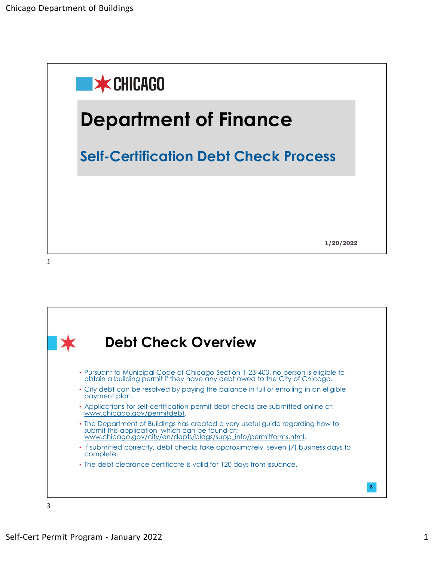

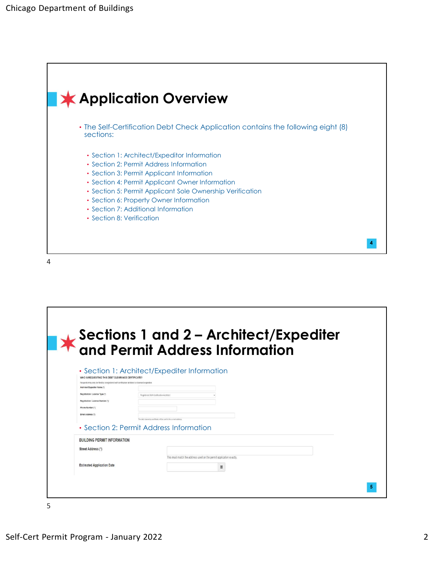

| Architect/Expediter Name (")                                                             | WHO IS REQUESTING THIS DEBT CLEARANCE CERTIFICATE?<br>Requests may only be filed by a registered self-certification architect or licensed expediter. |                |                |  |
|------------------------------------------------------------------------------------------|------------------------------------------------------------------------------------------------------------------------------------------------------|----------------|----------------|--|
| Registration / License Type (")<br>Registration / License Number (*)<br>Phone Number (") | Registered Self-Certification Architect                                                                                                              |                |                |  |
| Email Address (")                                                                        | The debt clearance certificate will be sent to this e-mail address.<br>• Section 2: Permit Address Information                                       |                |                |  |
| <b>BUILDING PERMIT INFORMATION</b><br>Street Address (*)                                 |                                                                                                                                                      |                |                |  |
| <b>Estimated Application Date</b>                                                        | This must match the address used on the permit application exactly.                                                                                  | $\blacksquare$ |                |  |
|                                                                                          |                                                                                                                                                      |                | 5 <sub>5</sub> |  |
| 5                                                                                        |                                                                                                                                                      |                |                |  |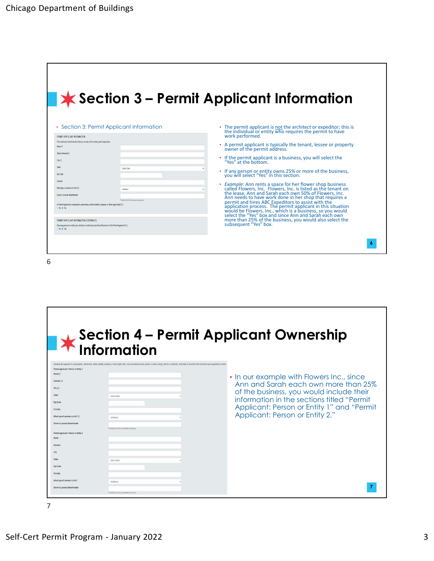| epartment of Buildings                                                                                                                                                                                                                                                             |                                                                                                                                                                                |
|------------------------------------------------------------------------------------------------------------------------------------------------------------------------------------------------------------------------------------------------------------------------------------|--------------------------------------------------------------------------------------------------------------------------------------------------------------------------------|
|                                                                                                                                                                                                                                                                                    |                                                                                                                                                                                |
|                                                                                                                                                                                                                                                                                    |                                                                                                                                                                                |
|                                                                                                                                                                                                                                                                                    |                                                                                                                                                                                |
|                                                                                                                                                                                                                                                                                    |                                                                                                                                                                                |
|                                                                                                                                                                                                                                                                                    |                                                                                                                                                                                |
|                                                                                                                                                                                                                                                                                    | $\bigstar$ Section 3 – Permit Applicant Information                                                                                                                            |
|                                                                                                                                                                                                                                                                                    |                                                                                                                                                                                |
|                                                                                                                                                                                                                                                                                    |                                                                                                                                                                                |
| • Section 3: Permit Applicant Information<br>PERMIT APPLICANT INFORMATION                                                                                                                                                                                                          | The permit applicant is not the architect or expeditor; this is<br>the individual or entity who requires the permit to have<br>work performed.                                 |
| This must match the information that you provide on the building permit application.                                                                                                                                                                                               | • A permit applicant is typically the tenant, lessee or property                                                                                                               |
| Street Address (*)                                                                                                                                                                                                                                                                 | owner of the permit address.                                                                                                                                                   |
| Select State                                                                                                                                                                                                                                                                       | If the permit applicant is a business, you will select the<br>"Yes" at the bottom.                                                                                             |
|                                                                                                                                                                                                                                                                                    | • If any person or entity owns 25% or more of the business, you will select "Yes" in this section.                                                                             |
| What type of address is this? (")<br>residence                                                                                                                                                                                                                                     | • Example: Ann rents a space for her flower shop business<br>called Flowers, Inc. Flowers, Inc. is listed as the tenant on                                                     |
| Driver's License State/Number<br>Providing this info will expedite processing.                                                                                                                                                                                                     | the lease. Ann and Sarah each own 50% of Flowers, Inc.<br>Ann needs to have work done in her shop that requires a                                                              |
| Is Permit Applicant a corporation, partnership, limited liability company or other legal entity? (")<br>O No # Yes                                                                                                                                                                 | permit and hires ABC Expeditors to assist with the<br>application process. The permit applicant in this situation<br>would be Flowers, Inc., which is a business, so you would |
| PERMIT APPLICANT INFORMATION (CONTINUED)                                                                                                                                                                                                                                           | select the "Yes" box and since Ann and Sarah each own<br>more than 25% of the business, you would also select the                                                              |
| Does any person or entity own, directly or indirectly, more than 25 percent of the Permit Applicant? (*)                                                                                                                                                                           | subsequent "Yes" box.                                                                                                                                                          |
|                                                                                                                                                                                                                                                                                    |                                                                                                                                                                                |
|                                                                                                                                                                                                                                                                                    |                                                                                                                                                                                |
|                                                                                                                                                                                                                                                                                    |                                                                                                                                                                                |
|                                                                                                                                                                                                                                                                                    |                                                                                                                                                                                |
|                                                                                                                                                                                                                                                                                    |                                                                                                                                                                                |
|                                                                                                                                                                                                                                                                                    |                                                                                                                                                                                |
|                                                                                                                                                                                                                                                                                    |                                                                                                                                                                                |
|                                                                                                                                                                                                                                                                                    |                                                                                                                                                                                |
|                                                                                                                                                                                                                                                                                    |                                                                                                                                                                                |
|                                                                                                                                                                                                                                                                                    | Section 4 – Permit Applicant Ownership<br>Information                                                                                                                          |
|                                                                                                                                                                                                                                                                                    |                                                                                                                                                                                |
|                                                                                                                                                                                                                                                                                    |                                                                                                                                                                                |
|                                                                                                                                                                                                                                                                                    |                                                                                                                                                                                |
| Because the applicant is a corporation, partnership, limited liability company or other legal entity, you must disclose each person or entity owning, directly or indirectly, more than 25 percent of the interest in such app<br>Permit Applicant: Person or Entity 1<br>Name (") | • In our example with Flowers Inc., since                                                                                                                                      |

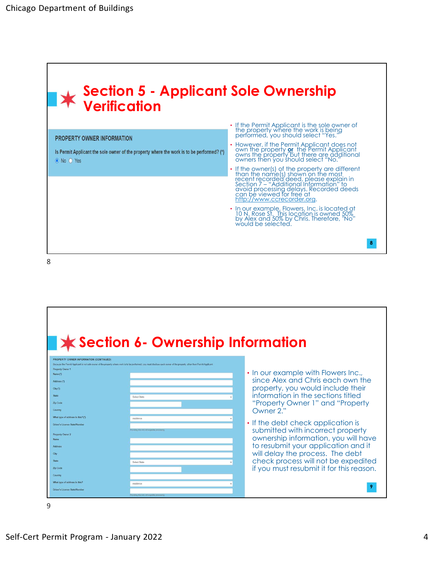

8 and 2010 and 2010 and 2010 and 2010 and 2010 and 2010 and 2010 and 2010 and 2010 and 2010 and 2010 and 2010

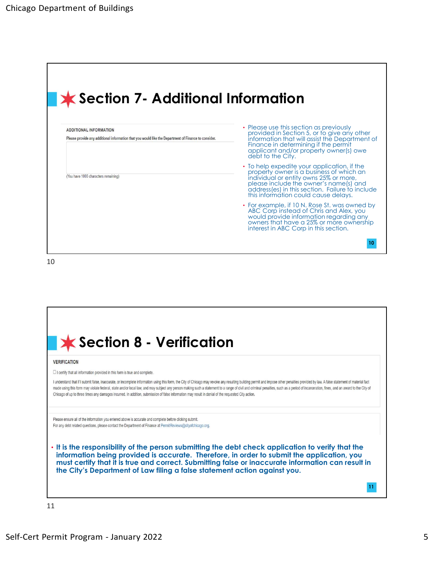|                                                                                                                                       | partment of Buildings                                                                                                                                                                                                                                                   |  |  |  |
|---------------------------------------------------------------------------------------------------------------------------------------|-------------------------------------------------------------------------------------------------------------------------------------------------------------------------------------------------------------------------------------------------------------------------|--|--|--|
|                                                                                                                                       |                                                                                                                                                                                                                                                                         |  |  |  |
|                                                                                                                                       |                                                                                                                                                                                                                                                                         |  |  |  |
|                                                                                                                                       |                                                                                                                                                                                                                                                                         |  |  |  |
|                                                                                                                                       |                                                                                                                                                                                                                                                                         |  |  |  |
| <b>★ Section 7- Additional Information</b>                                                                                            |                                                                                                                                                                                                                                                                         |  |  |  |
| <b>ADDITIONAL INFORMATION</b><br>Please provide any additional information that you would like the Department of Finance to consider. | • Please use this section as previously<br>provided in Section 5, or to give any other<br>information that will assist the Department of<br>Finance in determining if the permit<br>applicant and/or property owner(s) owe<br>debt to the City.                         |  |  |  |
| (You have 1000 characters remaining)                                                                                                  | • To help expedite your application, if the<br>property owner is a business of which an<br>individual or entity owns 25% or more,<br>please include the owner's name(s) and<br>address (es) in this section. Failure to include<br>this information could cause delays. |  |  |  |
|                                                                                                                                       | • For example, if 10 N. Rose St. was owned by<br>ABC Corp instead of Chris and Alex, you<br>would provide information regarding any<br>owners that have a 25% or more ownership<br>interest in ABC Corp in this section.                                                |  |  |  |
|                                                                                                                                       | 10                                                                                                                                                                                                                                                                      |  |  |  |
|                                                                                                                                       |                                                                                                                                                                                                                                                                         |  |  |  |
|                                                                                                                                       |                                                                                                                                                                                                                                                                         |  |  |  |
|                                                                                                                                       |                                                                                                                                                                                                                                                                         |  |  |  |